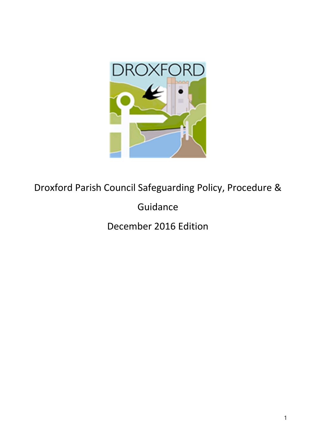

Droxford Parish Council Safeguarding Policy, Procedure &

Guidance

December 2016 Edition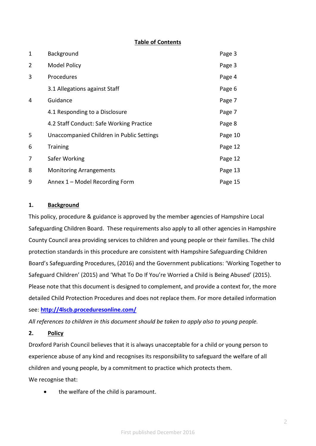## Table of Contents

| 1              | Background                                | Page 3  |
|----------------|-------------------------------------------|---------|
| $\overline{2}$ | <b>Model Policy</b>                       | Page 3  |
| 3              | Procedures                                | Page 4  |
|                | 3.1 Allegations against Staff             | Page 6  |
| 4              | Guidance                                  | Page 7  |
|                | 4.1 Responding to a Disclosure            | Page 7  |
|                | 4.2 Staff Conduct: Safe Working Practice  | Page 8  |
| 5              | Unaccompanied Children in Public Settings | Page 10 |
| 6              | <b>Training</b>                           | Page 12 |
| 7              | Safer Working                             | Page 12 |
| 8              | <b>Monitoring Arrangements</b>            | Page 13 |
| 9              | Annex 1 - Model Recording Form            | Page 15 |

#### 1. Background

This policy, procedure & guidance is approved by the member agencies of Hampshire Local Safeguarding Children Board. These requirements also apply to all other agencies in Hampshire County Council area providing services to children and young people or their families. The child protection standards in this procedure are consistent with Hampshire Safeguarding Children Board's Safeguarding Procedures, (2016) and the Government publications: 'Working Together to Safeguard Children' (2015) and 'What To Do If You're Worried a Child is Being Abused' (2015). Please note that this document is designed to complement, and provide a context for, the more detailed Child Protection Procedures and does not replace them. For more detailed information see: http://4lscb.proceduresonline.com/

All references to children in this document should be taken to apply also to young people.

2. Policy

Droxford Parish Council believes that it is always unacceptable for a child or young person to experience abuse of any kind and recognises its responsibility to safeguard the welfare of all children and young people, by a commitment to practice which protects them.

We recognise that:

• the welfare of the child is paramount.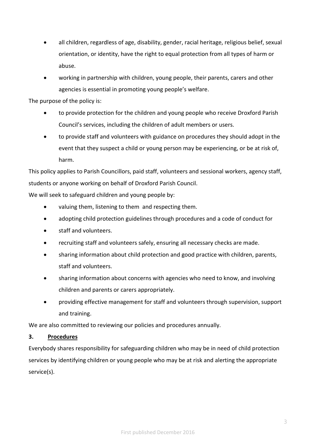- all children, regardless of age, disability, gender, racial heritage, religious belief, sexual orientation, or identity, have the right to equal protection from all types of harm or abuse.
- working in partnership with children, young people, their parents, carers and other agencies is essential in promoting young people's welfare.

The purpose of the policy is:

- to provide protection for the children and young people who receive Droxford Parish Council's services, including the children of adult members or users.
- to provide staff and volunteers with guidance on procedures they should adopt in the event that they suspect a child or young person may be experiencing, or be at risk of, harm.

This policy applies to Parish Councillors, paid staff, volunteers and sessional workers, agency staff, students or anyone working on behalf of Droxford Parish Council.

We will seek to safeguard children and young people by:

- valuing them, listening to them and respecting them.
- adopting child protection guidelines through procedures and a code of conduct for
- staff and volunteers.
- recruiting staff and volunteers safely, ensuring all necessary checks are made.
- sharing information about child protection and good practice with children, parents, staff and volunteers.
- sharing information about concerns with agencies who need to know, and involving children and parents or carers appropriately.
- providing effective management for staff and volunteers through supervision, support and training.

We are also committed to reviewing our policies and procedures annually.

## 3. Procedures

Everybody shares responsibility for safeguarding children who may be in need of child protection services by identifying children or young people who may be at risk and alerting the appropriate service(s).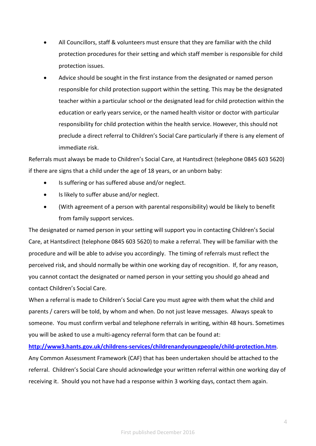- All Councillors, staff & volunteers must ensure that they are familiar with the child protection procedures for their setting and which staff member is responsible for child protection issues.
- Advice should be sought in the first instance from the designated or named person responsible for child protection support within the setting. This may be the designated teacher within a particular school or the designated lead for child protection within the education or early years service, or the named health visitor or doctor with particular responsibility for child protection within the health service. However, this should not preclude a direct referral to Children's Social Care particularly if there is any element of immediate risk.

Referrals must always be made to Children's Social Care, at Hantsdirect (telephone 0845 603 5620) if there are signs that a child under the age of 18 years, or an unborn baby:

- Is suffering or has suffered abuse and/or neglect.
- Is likely to suffer abuse and/or neglect.
- (With agreement of a person with parental responsibility) would be likely to benefit from family support services.

The designated or named person in your setting will support you in contacting Children's Social Care, at Hantsdirect (telephone 0845 603 5620) to make a referral. They will be familiar with the procedure and will be able to advise you accordingly. The timing of referrals must reflect the perceived risk, and should normally be within one working day of recognition. If, for any reason, you cannot contact the designated or named person in your setting you should go ahead and contact Children's Social Care.

When a referral is made to Children's Social Care you must agree with them what the child and parents / carers will be told, by whom and when. Do not just leave messages. Always speak to someone. You must confirm verbal and telephone referrals in writing, within 48 hours. Sometimes you will be asked to use a multi-agency referral form that can be found at:

http://www3.hants.gov.uk/childrens-services/childrenandyoungpeople/child-protection.htm. Any Common Assessment Framework (CAF) that has been undertaken should be attached to the referral. Children's Social Care should acknowledge your written referral within one working day of receiving it. Should you not have had a response within 3 working days, contact them again.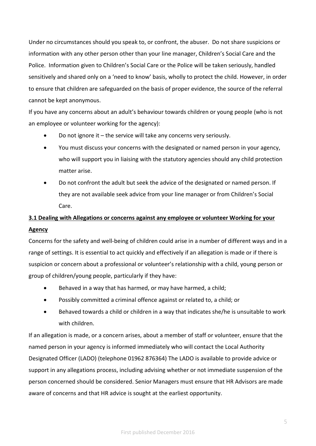Under no circumstances should you speak to, or confront, the abuser. Do not share suspicions or information with any other person other than your line manager, Children's Social Care and the Police. Information given to Children's Social Care or the Police will be taken seriously, handled sensitively and shared only on a 'need to know' basis, wholly to protect the child. However, in order to ensure that children are safeguarded on the basis of proper evidence, the source of the referral cannot be kept anonymous.

If you have any concerns about an adult's behaviour towards children or young people (who is not an employee or volunteer working for the agency):

- Do not ignore it the service will take any concerns very seriously.
- You must discuss your concerns with the designated or named person in your agency, who will support you in liaising with the statutory agencies should any child protection matter arise.
- Do not confront the adult but seek the advice of the designated or named person. If they are not available seek advice from your line manager or from Children's Social Care.

# 3.1 Dealing with Allegations or concerns against any employee or volunteer Working for your Agency

Concerns for the safety and well-being of children could arise in a number of different ways and in a range of settings. It is essential to act quickly and effectively if an allegation is made or if there is suspicion or concern about a professional or volunteer's relationship with a child, young person or group of children/young people, particularly if they have:

- Behaved in a way that has harmed, or may have harmed, a child;
- Possibly committed a criminal offence against or related to, a child; or
- Behaved towards a child or children in a way that indicates she/he is unsuitable to work with children.

If an allegation is made, or a concern arises, about a member of staff or volunteer, ensure that the named person in your agency is informed immediately who will contact the Local Authority Designated Officer (LADO) (telephone 01962 876364) The LADO is available to provide advice or support in any allegations process, including advising whether or not immediate suspension of the person concerned should be considered. Senior Managers must ensure that HR Advisors are made aware of concerns and that HR advice is sought at the earliest opportunity.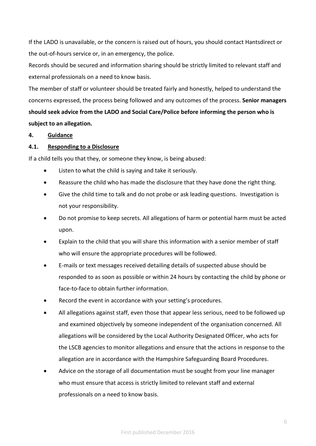If the LADO is unavailable, or the concern is raised out of hours, you should contact Hantsdirect or the out-of-hours service or, in an emergency, the police.

Records should be secured and information sharing should be strictly limited to relevant staff and external professionals on a need to know basis.

The member of staff or volunteer should be treated fairly and honestly, helped to understand the concerns expressed, the process being followed and any outcomes of the process. Senior managers should seek advice from the LADO and Social Care/Police before informing the person who is subject to an allegation.

#### 4. Guidance

#### 4.1. Responding to a Disclosure

If a child tells you that they, or someone they know, is being abused:

- Listen to what the child is saying and take it seriously.
- Reassure the child who has made the disclosure that they have done the right thing.
- Give the child time to talk and do not probe or ask leading questions. Investigation is not your responsibility.
- Do not promise to keep secrets. All allegations of harm or potential harm must be acted upon.
- Explain to the child that you will share this information with a senior member of staff who will ensure the appropriate procedures will be followed.
- E-mails or text messages received detailing details of suspected abuse should be responded to as soon as possible or within 24 hours by contacting the child by phone or face-to-face to obtain further information.
- Record the event in accordance with your setting's procedures.
- All allegations against staff, even those that appear less serious, need to be followed up and examined objectively by someone independent of the organisation concerned. All allegations will be considered by the Local Authority Designated Officer, who acts for the LSCB agencies to monitor allegations and ensure that the actions in response to the allegation are in accordance with the Hampshire Safeguarding Board Procedures.
- Advice on the storage of all documentation must be sought from your line manager who must ensure that access is strictly limited to relevant staff and external professionals on a need to know basis.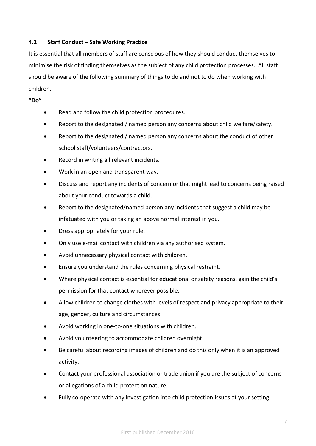## 4.2 Staff Conduct – Safe Working Practice

It is essential that all members of staff are conscious of how they should conduct themselves to minimise the risk of finding themselves as the subject of any child protection processes. All staff should be aware of the following summary of things to do and not to do when working with children.

"Do"

- Read and follow the child protection procedures.
- Report to the designated / named person any concerns about child welfare/safety.
- Report to the designated / named person any concerns about the conduct of other school staff/volunteers/contractors.
- Record in writing all relevant incidents.
- Work in an open and transparent way.
- Discuss and report any incidents of concern or that might lead to concerns being raised about your conduct towards a child.
- Report to the designated/named person any incidents that suggest a child may be infatuated with you or taking an above normal interest in you.
- Dress appropriately for your role.
- Only use e-mail contact with children via any authorised system.
- Avoid unnecessary physical contact with children.
- Ensure you understand the rules concerning physical restraint.
- Where physical contact is essential for educational or safety reasons, gain the child's permission for that contact wherever possible.
- Allow children to change clothes with levels of respect and privacy appropriate to their age, gender, culture and circumstances.
- Avoid working in one-to-one situations with children.
- Avoid volunteering to accommodate children overnight.
- Be careful about recording images of children and do this only when it is an approved activity.
- Contact your professional association or trade union if you are the subject of concerns or allegations of a child protection nature.
- Fully co-operate with any investigation into child protection issues at your setting.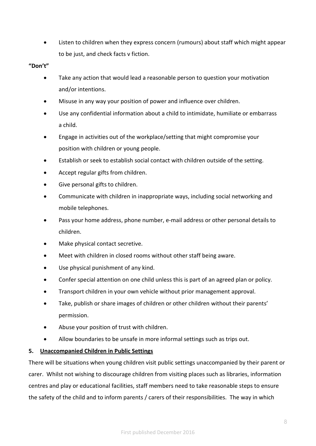Listen to children when they express concern (rumours) about staff which might appear to be just, and check facts v fiction.

### "Don't"

- Take any action that would lead a reasonable person to question your motivation and/or intentions.
- Misuse in any way your position of power and influence over children.
- Use any confidential information about a child to intimidate, humiliate or embarrass a child.
- Engage in activities out of the workplace/setting that might compromise your position with children or young people.
- Establish or seek to establish social contact with children outside of the setting.
- Accept regular gifts from children.
- Give personal gifts to children.
- Communicate with children in inappropriate ways, including social networking and mobile telephones.
- Pass your home address, phone number, e-mail address or other personal details to children.
- Make physical contact secretive.
- Meet with children in closed rooms without other staff being aware.
- Use physical punishment of any kind.
- Confer special attention on one child unless this is part of an agreed plan or policy.
- Transport children in your own vehicle without prior management approval.
- Take, publish or share images of children or other children without their parents' permission.
- Abuse your position of trust with children.
- Allow boundaries to be unsafe in more informal settings such as trips out.

## 5. Unaccompanied Children in Public Settings

There will be situations when young children visit public settings unaccompanied by their parent or carer. Whilst not wishing to discourage children from visiting places such as libraries, information centres and play or educational facilities, staff members need to take reasonable steps to ensure the safety of the child and to inform parents / carers of their responsibilities. The way in which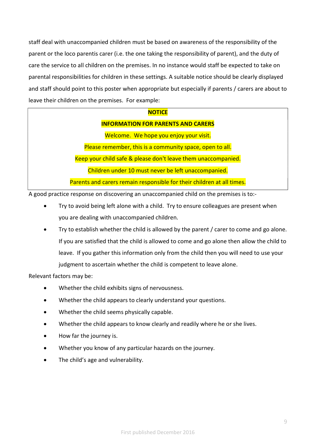staff deal with unaccompanied children must be based on awareness of the responsibility of the parent or the loco parentis carer (i.e. the one taking the responsibility of parent), and the duty of care the service to all children on the premises. In no instance would staff be expected to take on parental responsibilities for children in these settings. A suitable notice should be clearly displayed and staff should point to this poster when appropriate but especially if parents / carers are about to leave their children on the premises. For example:

| NOTICE |  |
|--------|--|
|        |  |

#### INFORMATION FOR PARENTS AND CARERS

Welcome. We hope you enjoy your visit.

Please remember, this is a community space, open to all.

Keep your child safe & please don't leave them unaccompanied.

Children under 10 must never be left unaccompanied.

Parents and carers remain responsible for their children at all times.

A good practice response on discovering an unaccompanied child on the premises is to:-

- Try to avoid being left alone with a child. Try to ensure colleagues are present when you are dealing with unaccompanied children.
- Try to establish whether the child is allowed by the parent / carer to come and go alone. If you are satisfied that the child is allowed to come and go alone then allow the child to leave. If you gather this information only from the child then you will need to use your judgment to ascertain whether the child is competent to leave alone.

Relevant factors may be:

- Whether the child exhibits signs of nervousness.
- Whether the child appears to clearly understand your questions.
- Whether the child seems physically capable.
- Whether the child appears to know clearly and readily where he or she lives.
- How far the journey is.
- Whether you know of any particular hazards on the journey.
- The child's age and vulnerability.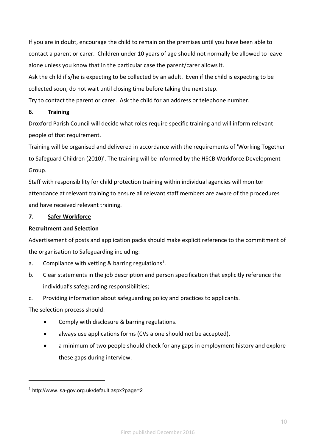If you are in doubt, encourage the child to remain on the premises until you have been able to contact a parent or carer. Children under 10 years of age should not normally be allowed to leave alone unless you know that in the particular case the parent/carer allows it.

Ask the child if s/he is expecting to be collected by an adult. Even if the child is expecting to be collected soon, do not wait until closing time before taking the next step.

Try to contact the parent or carer. Ask the child for an address or telephone number.

#### 6. Training

Droxford Parish Council will decide what roles require specific training and will inform relevant people of that requirement.

Training will be organised and delivered in accordance with the requirements of 'Working Together to Safeguard Children (2010)'. The training will be informed by the HSCB Workforce Development Group.

Staff with responsibility for child protection training within individual agencies will monitor attendance at relevant training to ensure all relevant staff members are aware of the procedures and have received relevant training.

## 7. Safer Workforce

#### Recruitment and Selection

Advertisement of posts and application packs should make explicit reference to the commitment of the organisation to Safeguarding including:

- a. Compliance with vetting & barring regulations<sup>1</sup>.
- b. Clear statements in the job description and person specification that explicitly reference the individual's safeguarding responsibilities;
- c. Providing information about safeguarding policy and practices to applicants.

## The selection process should:

-

- Comply with disclosure & barring regulations.
- always use applications forms (CVs alone should not be accepted).
- a minimum of two people should check for any gaps in employment history and explore these gaps during interview.

<sup>1</sup> http://www.isa-gov.org.uk/default.aspx?page=2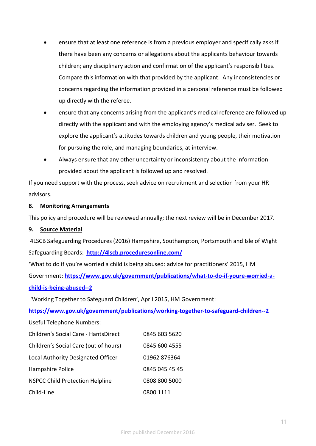- ensure that at least one reference is from a previous employer and specifically asks if there have been any concerns or allegations about the applicants behaviour towards children; any disciplinary action and confirmation of the applicant's responsibilities. Compare this information with that provided by the applicant. Any inconsistencies or concerns regarding the information provided in a personal reference must be followed up directly with the referee.
- ensure that any concerns arising from the applicant's medical reference are followed up directly with the applicant and with the employing agency's medical adviser. Seek to explore the applicant's attitudes towards children and young people, their motivation for pursuing the role, and managing boundaries, at interview.
- Always ensure that any other uncertainty or inconsistency about the information provided about the applicant is followed up and resolved.

If you need support with the process, seek advice on recruitment and selection from your HR advisors.

## 8. Monitoring Arrangements

This policy and procedure will be reviewed annually; the next review will be in December 2017.

#### 9. Source Material

 4LSCB Safeguarding Procedures (2016) Hampshire, Southampton, Portsmouth and Isle of Wight Safeguarding Boards: http://4lscb.proceduresonline.com/

'What to do if you're worried a child is being abused: advice for practitioners' 2015, HM Government: https://www.gov.uk/government/publications/what-to-do-if-youre-worried-achild-is-being-abused--2

'Working Together to Safeguard Children', April 2015, HM Government:

https://www.gov.uk/government/publications/working-together-to-safeguard-children--2

Useful Telephone Numbers:

| Children's Social Care - HantsDirect   | 0845 603 5620  |
|----------------------------------------|----------------|
| Children's Social Care (out of hours)  | 0845 600 4555  |
| Local Authority Designated Officer     | 01962 876364   |
| Hampshire Police                       | 0845 045 45 45 |
| <b>NSPCC Child Protection Helpline</b> | 0808 800 5000  |
| Child-Line                             | 0800 1111      |